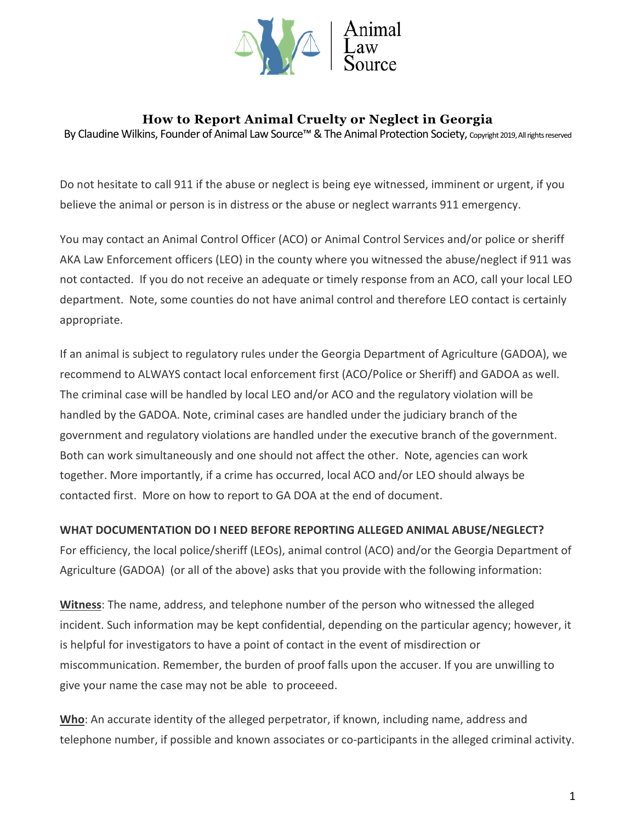

# **How to Report Animal Cruelty or Neglect in Georgia**

By Claudine Wilkins, Founder of Animal Law Source™ & The Animal Protection Society, Copyright 2019, All rights reserved

Do not hesitate to call 911 if the abuse or neglect is being eye witnessed, imminent or urgent, if you believe the animal or person is in distress or the abuse or neglect warrants 911 emergency.

You may contact an Animal Control Officer (ACO) or Animal Control Services and/or police or sheriff AKA Law Enforcement officers (LEO) in the county where you witnessed the abuse/neglect if 911 was not contacted. If you do not receive an adequate or timely response from an ACO, call your local LEO department. Note, some counties do not have animal control and therefore LEO contact is certainly appropriate.

If an animal is subject to regulatory rules under the Georgia Department of Agriculture (GADOA), we recommend to ALWAYS contact local enforcement first (ACO/Police or Sheriff) and GADOA as well. The criminal case will be handled by local LEO and/or ACO and the regulatory violation will be handled by the GADOA. Note, criminal cases are handled under the judiciary branch of the government and regulatory violations are handled under the executive branch of the government. Both can work simultaneously and one should not affect the other. Note, agencies can work together. More importantly, if a crime has occurred, local ACO and/or LEO should always be contacted first. More on how to report to GA DOA at the end of document.

#### **WHAT DOCUMENTATION DO I NEED BEFORE REPORTING ALLEGED ANIMAL ABUSE/NEGLECT?**

For efficiency, the local police/sheriff (LEOs), animal control (ACO) and/or the Georgia Department of Agriculture (GADOA) (or all of the above) asks that you provide with the following information:

**Witness**: The name, address, and telephone number of the person who witnessed the alleged incident. Such information may be kept confidential, depending on the particular agency; however, it is helpful for investigators to have a point of contact in the event of misdirection or miscommunication. Remember, the burden of proof falls upon the accuser. If you are unwilling to give your name the case may not be able to proceeed.

**Who**: An accurate identity of the alleged perpetrator, if known, including name, address and telephone number, if possible and known associates or co-participants in the alleged criminal activity.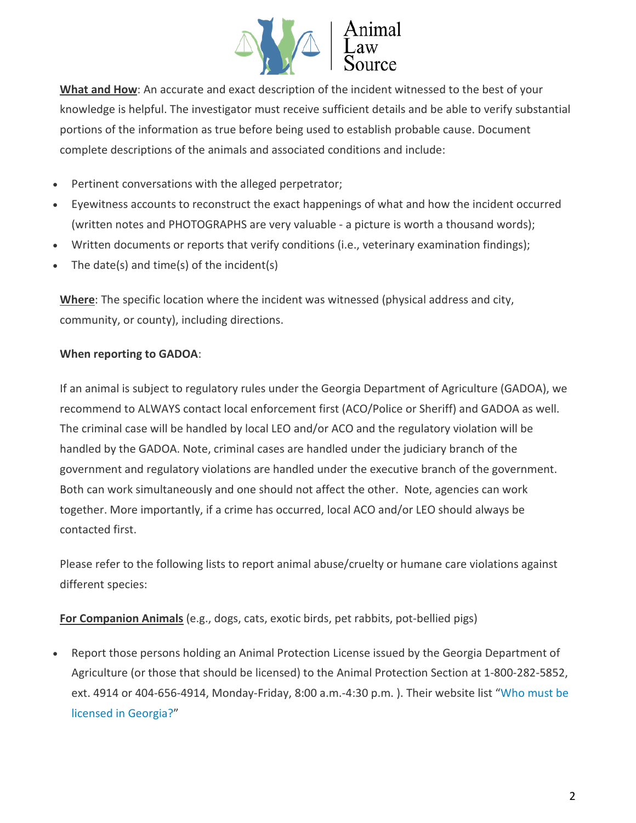

What and How: An accurate and exact description of the incident witnessed to the best of your knowledge is helpful. The investigator must receive sufficient details and be able to verify substantial portions of the information as true before being used to establish probable cause. Document complete descriptions of the animals and associated conditions and include:

- Pertinent conversations with the alleged perpetrator;
- Eyewitness accounts to reconstruct the exact happenings of what and how the incident occurred (written notes and PHOTOGRAPHS are very valuable - a picture is worth a thousand words);
- Written documents or reports that verify conditions (i.e., veterinary examination findings);
- The date(s) and time(s) of the incident(s)

**Where**: The specific location where the incident was witnessed (physical address and city, community, or county), including directions.

### **When reporting to GADOA**:

If an animal is subject to regulatory rules under the Georgia Department of Agriculture (GADOA), we recommend to ALWAYS contact local enforcement first (ACO/Police or Sheriff) and GADOA as well. The criminal case will be handled by local LEO and/or ACO and the regulatory violation will be handled by the GADOA. Note, criminal cases are handled under the judiciary branch of the government and regulatory violations are handled under the executive branch of the government. Both can work simultaneously and one should not affect the other. Note, agencies can work together. More importantly, if a crime has occurred, local ACO and/or LEO should always be contacted first.

Please refer to the following lists to report animal abuse/cruelty or humane care violations against different species:

**For Companion Animals** (e.g., dogs, cats, exotic birds, pet rabbits, pot-bellied pigs)

• Report those persons holding an Animal Protection License issued by the Georgia Department of Agriculture (or those that should be licensed) to the Animal Protection Section at 1-800-282-5852, ext. 4914 or 404-656-4914, Monday-Friday, 8:00 a.m.-4:30 p.m. ). Their website list ["Who must be](http://agr.georgia.gov/who-is-required-to-be-licensed.aspx)  [licensed in Georgia?"](http://agr.georgia.gov/who-is-required-to-be-licensed.aspx)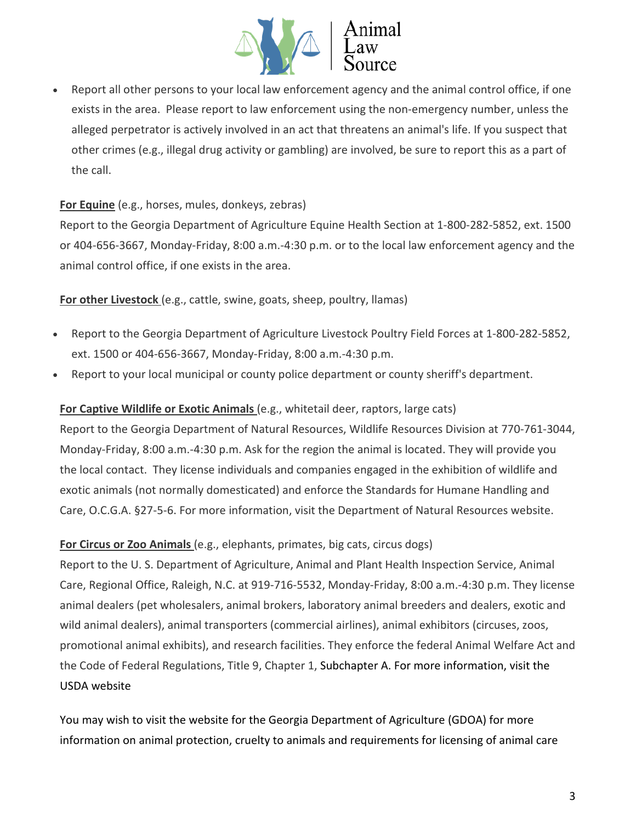

Report all other persons to your local law enforcement agency and the animal control office, if one exists in the area. Please report to law enforcement using the non-emergency number, unless the alleged perpetrator is actively involved in an act that threatens an animal's life. If you suspect that other crimes (e.g., illegal drug activity or gambling) are involved, be sure to report this as a part of the call.

# **For Equine** (e.g., horses, mules, donkeys, zebras)

Report to the Georgia Department of Agriculture Equine Health Section at 1-800-282-5852, ext. 1500 or 404-656-3667, Monday-Friday, 8:00 a.m.-4:30 p.m. or to the local law enforcement agency and the animal control office, if one exists in the area.

**For other Livestock** (e.g., cattle, swine, goats, sheep, poultry, llamas)

- Report to the Georgia Department of Agriculture Livestock Poultry Field Forces at 1-800-282-5852, ext. 1500 or 404-656-3667, Monday-Friday, 8:00 a.m.-4:30 p.m.
- Report to your local municipal or county police department or county sheriff's department.

# **For Captive Wildlife or Exotic Animals** (e.g., whitetail deer, raptors, large cats)

Report to the Georgia Department of Natural Resources, Wildlife Resources Division at 770-761-3044, Monday-Friday, 8:00 a.m.-4:30 p.m. Ask for the region the animal is located. They will provide you the local contact. They license individuals and companies engaged in the exhibition of wildlife and exotic animals (not normally domesticated) and enforce the Standards for Humane Handling and Care, O.C.G.A. §27-5-6. For more information, visit the Department of Natural Resources website.

### **For Circus or Zoo Animals** (e.g., elephants, primates, big cats, circus dogs)

Report to the U. S. Department of Agriculture, Animal and Plant Health Inspection Service, Animal Care, Regional Office, Raleigh, N.C. at 919-716-5532, Monday-Friday, 8:00 a.m.-4:30 p.m. They license animal dealers (pet wholesalers, animal brokers, laboratory animal breeders and dealers, exotic and wild animal dealers), animal transporters (commercial airlines), animal exhibitors (circuses, zoos, promotional animal exhibits), and research facilities. They enforce the federal Animal Welfare Act and the Code of Federal Regulations, Title 9, Chapter 1, Subchapter A. For more information, visit the USDA website

You may wish to visit the website for the Georgia Department of Agriculture (GDOA) for more information on [animal protection,](http://agr.georgia.gov/animal-protection-faqs.aspx) [cruelty to animals](http://agr.georgia.gov/animal-cruelty-faqs.aspx) and [requirements for licensing of animal care](http://agr.georgia.gov/who-is-required-to-be-licensed.aspx)